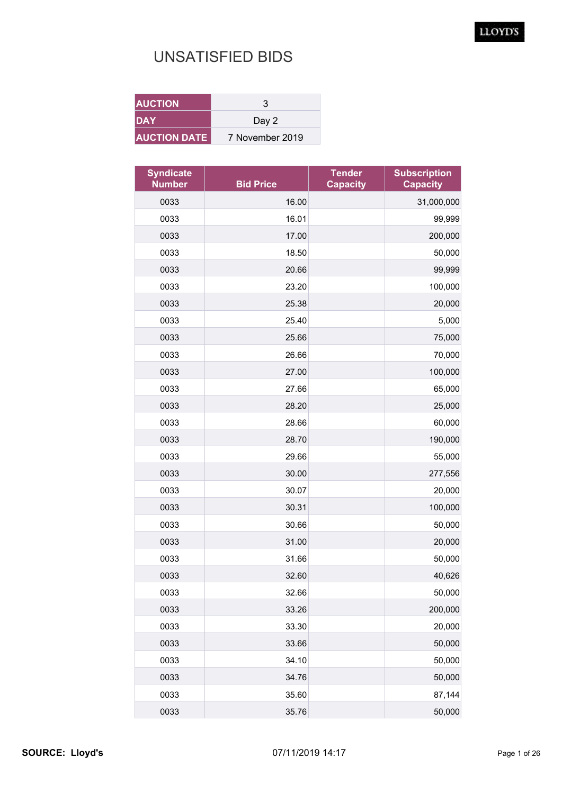| <b>AUCTION</b>      | З               |
|---------------------|-----------------|
| DAY                 | Day 2           |
| <b>AUCTION DATE</b> | 7 November 2019 |

| <b>Syndicate</b><br><b>Number</b> | <b>Bid Price</b> | <b>Tender</b><br><b>Capacity</b> | <b>Subscription</b><br><b>Capacity</b> |
|-----------------------------------|------------------|----------------------------------|----------------------------------------|
| 0033                              | 16.00            |                                  | 31,000,000                             |
| 0033                              | 16.01            |                                  | 99,999                                 |
| 0033                              | 17.00            |                                  | 200,000                                |
| 0033                              | 18.50            |                                  | 50,000                                 |
| 0033                              | 20.66            |                                  | 99,999                                 |
| 0033                              | 23.20            |                                  | 100,000                                |
| 0033                              | 25.38            |                                  | 20,000                                 |
| 0033                              | 25.40            |                                  | 5,000                                  |
| 0033                              | 25.66            |                                  | 75,000                                 |
| 0033                              | 26.66            |                                  | 70,000                                 |
| 0033                              | 27.00            |                                  | 100,000                                |
| 0033                              | 27.66            |                                  | 65,000                                 |
| 0033                              | 28.20            |                                  | 25,000                                 |
| 0033                              | 28.66            |                                  | 60,000                                 |
| 0033                              | 28.70            |                                  | 190,000                                |
| 0033                              | 29.66            |                                  | 55,000                                 |
| 0033                              | 30.00            |                                  | 277,556                                |
| 0033                              | 30.07            |                                  | 20,000                                 |
| 0033                              | 30.31            |                                  | 100,000                                |
| 0033                              | 30.66            |                                  | 50,000                                 |
| 0033                              | 31.00            |                                  | 20,000                                 |
| 0033                              | 31.66            |                                  | 50,000                                 |
| 0033                              | 32.60            |                                  | 40,626                                 |
| 0033                              | 32.66            |                                  | 50,000                                 |
| 0033                              | 33.26            |                                  | 200,000                                |
| 0033                              | 33.30            |                                  | 20,000                                 |
| 0033                              | 33.66            |                                  | 50,000                                 |
| 0033                              | 34.10            |                                  | 50,000                                 |
| 0033                              | 34.76            |                                  | 50,000                                 |
| 0033                              | 35.60            |                                  | 87,144                                 |
| 0033                              | 35.76            |                                  | 50,000                                 |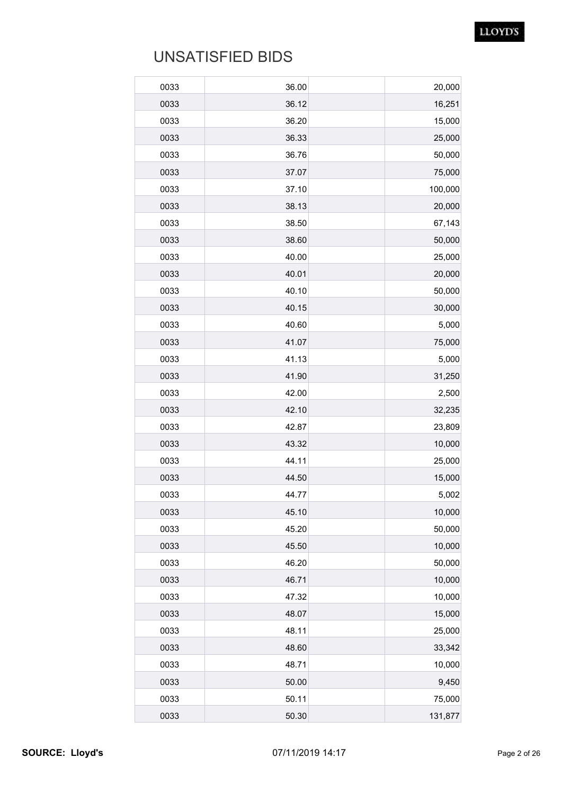| 0033 | 36.00 | 20,000  |
|------|-------|---------|
| 0033 | 36.12 | 16,251  |
| 0033 | 36.20 | 15,000  |
| 0033 | 36.33 | 25,000  |
| 0033 | 36.76 | 50,000  |
| 0033 | 37.07 | 75,000  |
| 0033 | 37.10 | 100,000 |
| 0033 | 38.13 | 20,000  |
| 0033 | 38.50 | 67,143  |
| 0033 | 38.60 | 50,000  |
| 0033 | 40.00 | 25,000  |
| 0033 | 40.01 | 20,000  |
| 0033 | 40.10 | 50,000  |
| 0033 | 40.15 | 30,000  |
| 0033 | 40.60 | 5,000   |
| 0033 | 41.07 | 75,000  |
| 0033 | 41.13 | 5,000   |
| 0033 | 41.90 | 31,250  |
| 0033 | 42.00 | 2,500   |
| 0033 | 42.10 | 32,235  |
| 0033 | 42.87 | 23,809  |
| 0033 | 43.32 | 10,000  |
| 0033 | 44.11 | 25,000  |
| 0033 | 44.50 | 15,000  |
| 0033 | 44.77 | 5,002   |
| 0033 | 45.10 | 10,000  |
| 0033 | 45.20 | 50,000  |
| 0033 | 45.50 | 10,000  |
| 0033 | 46.20 | 50,000  |
| 0033 | 46.71 | 10,000  |
| 0033 | 47.32 | 10,000  |
| 0033 | 48.07 | 15,000  |
| 0033 | 48.11 | 25,000  |
| 0033 | 48.60 | 33,342  |
| 0033 | 48.71 | 10,000  |
| 0033 | 50.00 | 9,450   |
| 0033 | 50.11 | 75,000  |
| 0033 | 50.30 | 131,877 |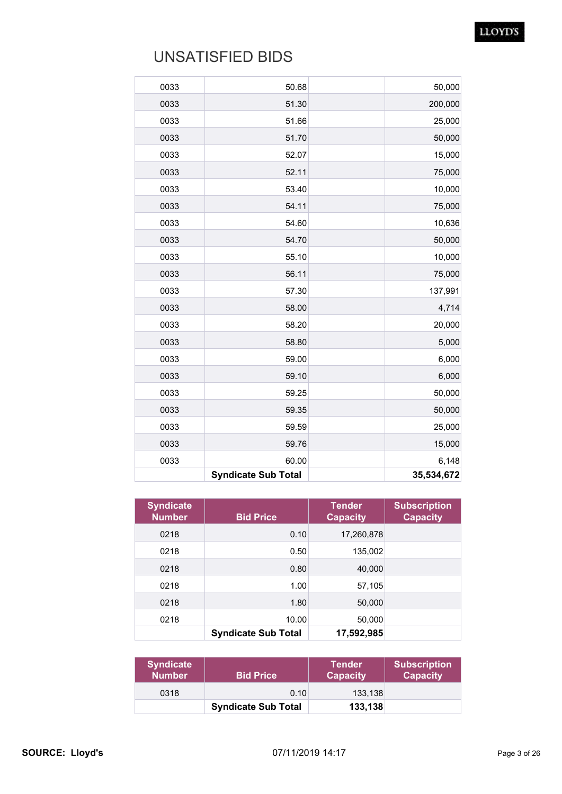| 0033 | 50.68                      | 50,000     |
|------|----------------------------|------------|
| 0033 | 51.30                      | 200,000    |
| 0033 | 51.66                      | 25,000     |
| 0033 | 51.70                      | 50,000     |
| 0033 | 52.07                      | 15,000     |
| 0033 | 52.11                      | 75,000     |
| 0033 | 53.40                      | 10,000     |
| 0033 | 54.11                      | 75,000     |
| 0033 | 54.60                      | 10,636     |
| 0033 | 54.70                      | 50,000     |
| 0033 | 55.10                      | 10,000     |
| 0033 | 56.11                      | 75,000     |
| 0033 | 57.30                      | 137,991    |
| 0033 | 58.00                      | 4,714      |
| 0033 | 58.20                      | 20,000     |
| 0033 | 58.80                      | 5,000      |
| 0033 | 59.00                      | 6,000      |
| 0033 | 59.10                      | 6,000      |
| 0033 | 59.25                      | 50,000     |
| 0033 | 59.35                      | 50,000     |
| 0033 | 59.59                      | 25,000     |
| 0033 | 59.76                      | 15,000     |
| 0033 | 60.00                      | 6,148      |
|      | <b>Syndicate Sub Total</b> | 35,534,672 |

| <b>Syndicate</b><br><b>Number</b> | <b>Bid Price</b>           | Tender<br><b>Capacity</b> | <b>Subscription</b><br><b>Capacity</b> |
|-----------------------------------|----------------------------|---------------------------|----------------------------------------|
| 0218                              | 0.10                       | 17,260,878                |                                        |
| 0218                              | 0.50                       | 135,002                   |                                        |
| 0218                              | 0.80                       | 40,000                    |                                        |
| 0218                              | 1.00                       | 57,105                    |                                        |
| 0218                              | 1.80                       | 50,000                    |                                        |
| 0218                              | 10.00                      | 50,000                    |                                        |
|                                   | <b>Syndicate Sub Total</b> | 17,592,985                |                                        |

| <b>Syndicate</b><br><b>Number</b> | <b>Bid Price</b>           | <b>Tender</b><br><b>Capacity</b> | <b>Subscription</b><br><b>Capacity</b> |
|-----------------------------------|----------------------------|----------------------------------|----------------------------------------|
| 0318                              | 0.10                       | 133.138                          |                                        |
|                                   | <b>Syndicate Sub Total</b> | 133,138                          |                                        |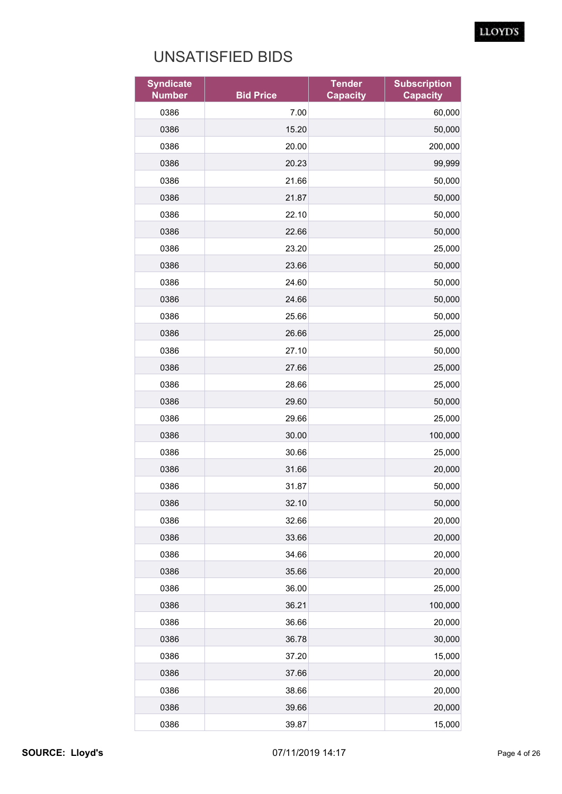| <b>Syndicate</b><br><b>Number</b> | <b>Bid Price</b> | <b>Tender</b><br><b>Capacity</b> | <b>Subscription</b><br><b>Capacity</b> |
|-----------------------------------|------------------|----------------------------------|----------------------------------------|
| 0386                              | 7.00             |                                  | 60,000                                 |
| 0386                              | 15.20            |                                  | 50,000                                 |
| 0386                              | 20.00            |                                  | 200,000                                |
| 0386                              | 20.23            |                                  | 99,999                                 |
| 0386                              | 21.66            |                                  | 50,000                                 |
| 0386                              | 21.87            |                                  | 50,000                                 |
| 0386                              | 22.10            |                                  | 50,000                                 |
| 0386                              | 22.66            |                                  | 50,000                                 |
| 0386                              | 23.20            |                                  | 25,000                                 |
| 0386                              | 23.66            |                                  | 50,000                                 |
| 0386                              | 24.60            |                                  | 50,000                                 |
| 0386                              | 24.66            |                                  | 50,000                                 |
| 0386                              | 25.66            |                                  | 50,000                                 |
| 0386                              | 26.66            |                                  | 25,000                                 |
| 0386                              | 27.10            |                                  | 50,000                                 |
| 0386                              | 27.66            |                                  | 25,000                                 |
| 0386                              | 28.66            |                                  | 25,000                                 |
| 0386                              | 29.60            |                                  | 50,000                                 |
| 0386                              | 29.66            |                                  | 25,000                                 |
| 0386                              | 30.00            |                                  | 100,000                                |
| 0386                              | 30.66            |                                  | 25,000                                 |
| 0386                              | 31.66            |                                  | 20,000                                 |
| 0386                              | 31.87            |                                  | 50,000                                 |
| 0386                              | 32.10            |                                  | 50,000                                 |
| 0386                              | 32.66            |                                  | 20,000                                 |
| 0386                              | 33.66            |                                  | 20,000                                 |
| 0386                              | 34.66            |                                  | 20,000                                 |
| 0386                              | 35.66            |                                  | 20,000                                 |
| 0386                              | 36.00            |                                  | 25,000                                 |
| 0386                              | 36.21            |                                  | 100,000                                |
| 0386                              | 36.66            |                                  | 20,000                                 |
| 0386                              | 36.78            |                                  | 30,000                                 |
| 0386                              | 37.20            |                                  | 15,000                                 |
| 0386                              | 37.66            |                                  | 20,000                                 |
| 0386                              | 38.66            |                                  | 20,000                                 |
| 0386                              | 39.66            |                                  | 20,000                                 |
| 0386                              | 39.87            |                                  | 15,000                                 |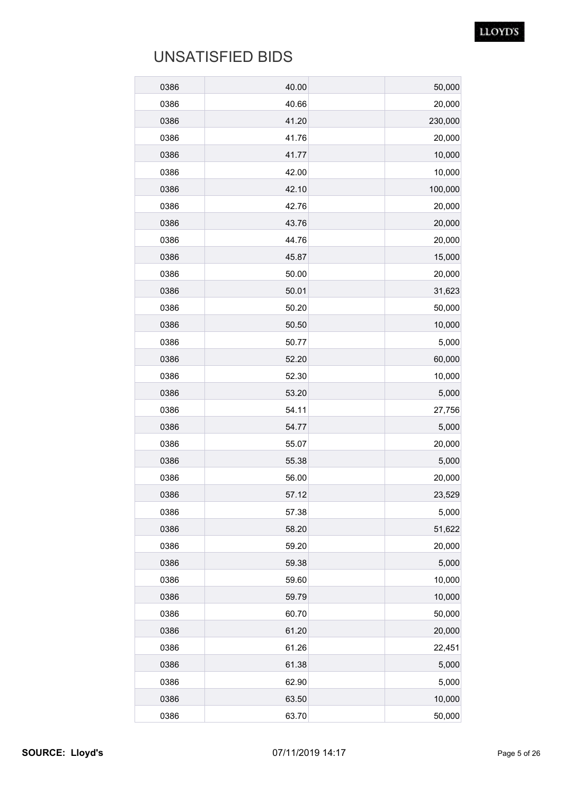| 0386 | 40.00 | 50,000  |
|------|-------|---------|
| 0386 | 40.66 | 20,000  |
| 0386 | 41.20 | 230,000 |
| 0386 | 41.76 | 20,000  |
| 0386 | 41.77 | 10,000  |
| 0386 | 42.00 | 10,000  |
| 0386 | 42.10 | 100,000 |
| 0386 | 42.76 | 20,000  |
| 0386 | 43.76 | 20,000  |
| 0386 | 44.76 | 20,000  |
| 0386 | 45.87 | 15,000  |
| 0386 | 50.00 | 20,000  |
| 0386 | 50.01 | 31,623  |
| 0386 | 50.20 | 50,000  |
| 0386 | 50.50 | 10,000  |
| 0386 | 50.77 | 5,000   |
| 0386 | 52.20 | 60,000  |
| 0386 | 52.30 | 10,000  |
| 0386 | 53.20 | 5,000   |
| 0386 | 54.11 | 27,756  |
| 0386 | 54.77 | 5,000   |
| 0386 | 55.07 | 20,000  |
| 0386 | 55.38 | 5,000   |
| 0386 | 56.00 | 20,000  |
| 0386 | 57.12 | 23,529  |
| 0386 | 57.38 | 5,000   |
| 0386 | 58.20 | 51,622  |
| 0386 | 59.20 | 20,000  |
| 0386 | 59.38 | 5,000   |
| 0386 | 59.60 | 10,000  |
| 0386 | 59.79 | 10,000  |
| 0386 | 60.70 | 50,000  |
| 0386 | 61.20 | 20,000  |
| 0386 | 61.26 | 22,451  |
| 0386 | 61.38 | 5,000   |
| 0386 | 62.90 | 5,000   |
| 0386 | 63.50 | 10,000  |
| 0386 | 63.70 | 50,000  |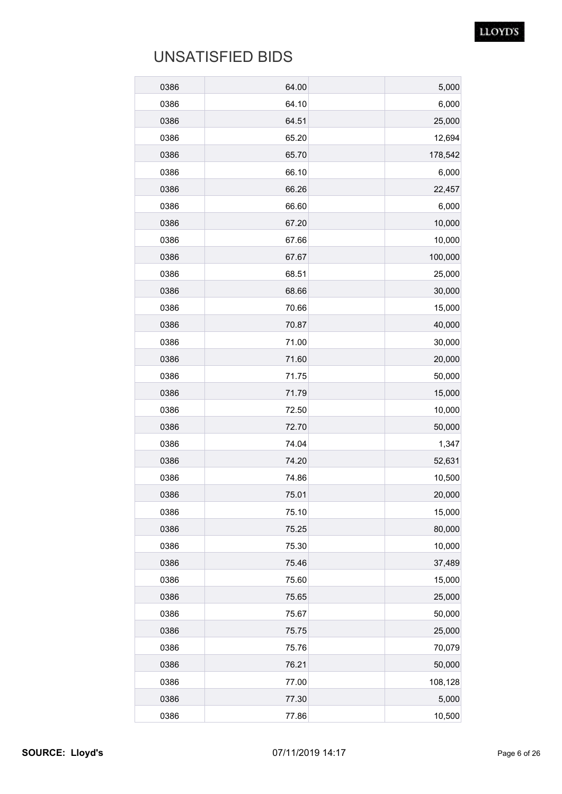| 0386 | 64.00 | 5,000   |
|------|-------|---------|
| 0386 | 64.10 | 6,000   |
| 0386 | 64.51 | 25,000  |
| 0386 | 65.20 | 12,694  |
| 0386 | 65.70 | 178,542 |
| 0386 | 66.10 | 6,000   |
| 0386 | 66.26 | 22,457  |
| 0386 | 66.60 | 6,000   |
| 0386 | 67.20 | 10,000  |
| 0386 | 67.66 | 10,000  |
| 0386 | 67.67 | 100,000 |
| 0386 | 68.51 | 25,000  |
| 0386 | 68.66 | 30,000  |
| 0386 | 70.66 | 15,000  |
| 0386 | 70.87 | 40,000  |
| 0386 | 71.00 | 30,000  |
| 0386 | 71.60 | 20,000  |
| 0386 | 71.75 | 50,000  |
| 0386 | 71.79 | 15,000  |
| 0386 | 72.50 | 10,000  |
| 0386 | 72.70 | 50,000  |
| 0386 | 74.04 | 1,347   |
| 0386 | 74.20 | 52,631  |
| 0386 | 74.86 | 10,500  |
| 0386 | 75.01 | 20,000  |
| 0386 | 75.10 | 15,000  |
| 0386 | 75.25 | 80,000  |
| 0386 | 75.30 | 10,000  |
| 0386 | 75.46 | 37,489  |
| 0386 | 75.60 | 15,000  |
| 0386 | 75.65 | 25,000  |
| 0386 | 75.67 | 50,000  |
| 0386 | 75.75 | 25,000  |
| 0386 | 75.76 | 70,079  |
| 0386 | 76.21 | 50,000  |
| 0386 | 77.00 | 108,128 |
| 0386 | 77.30 | 5,000   |
| 0386 | 77.86 | 10,500  |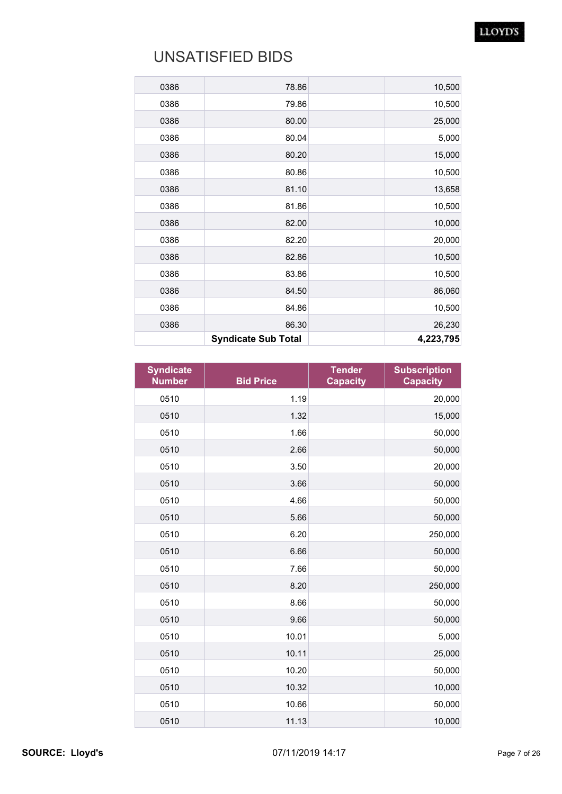| 0386 | 78.86                      | 10,500    |
|------|----------------------------|-----------|
| 0386 | 79.86                      | 10,500    |
| 0386 | 80.00                      | 25,000    |
| 0386 | 80.04                      | 5,000     |
| 0386 | 80.20                      | 15,000    |
| 0386 | 80.86                      | 10,500    |
| 0386 | 81.10                      | 13,658    |
| 0386 | 81.86                      | 10,500    |
| 0386 | 82.00                      | 10,000    |
| 0386 | 82.20                      | 20,000    |
| 0386 | 82.86                      | 10,500    |
| 0386 | 83.86                      | 10,500    |
| 0386 | 84.50                      | 86,060    |
| 0386 | 84.86                      | 10,500    |
| 0386 | 86.30                      | 26,230    |
|      | <b>Syndicate Sub Total</b> | 4,223,795 |

| <b>Syndicate</b><br><b>Number</b> | <b>Bid Price</b> | <b>Tender</b><br><b>Capacity</b> | <b>Subscription</b><br><b>Capacity</b> |
|-----------------------------------|------------------|----------------------------------|----------------------------------------|
| 0510                              | 1.19             |                                  | 20,000                                 |
| 0510                              | 1.32             |                                  | 15,000                                 |
| 0510                              | 1.66             |                                  | 50,000                                 |
| 0510                              | 2.66             |                                  | 50,000                                 |
| 0510                              | 3.50             |                                  | 20,000                                 |
| 0510                              | 3.66             |                                  | 50,000                                 |
| 0510                              | 4.66             |                                  | 50,000                                 |
| 0510                              | 5.66             |                                  | 50,000                                 |
| 0510                              | 6.20             |                                  | 250,000                                |
| 0510                              | 6.66             |                                  | 50,000                                 |
| 0510                              | 7.66             |                                  | 50,000                                 |
| 0510                              | 8.20             |                                  | 250,000                                |
| 0510                              | 8.66             |                                  | 50,000                                 |
| 0510                              | 9.66             |                                  | 50,000                                 |
| 0510                              | 10.01            |                                  | 5,000                                  |
| 0510                              | 10.11            |                                  | 25,000                                 |
| 0510                              | 10.20            |                                  | 50,000                                 |
| 0510                              | 10.32            |                                  | 10,000                                 |
| 0510                              | 10.66            |                                  | 50,000                                 |
| 0510                              | 11.13            |                                  | 10,000                                 |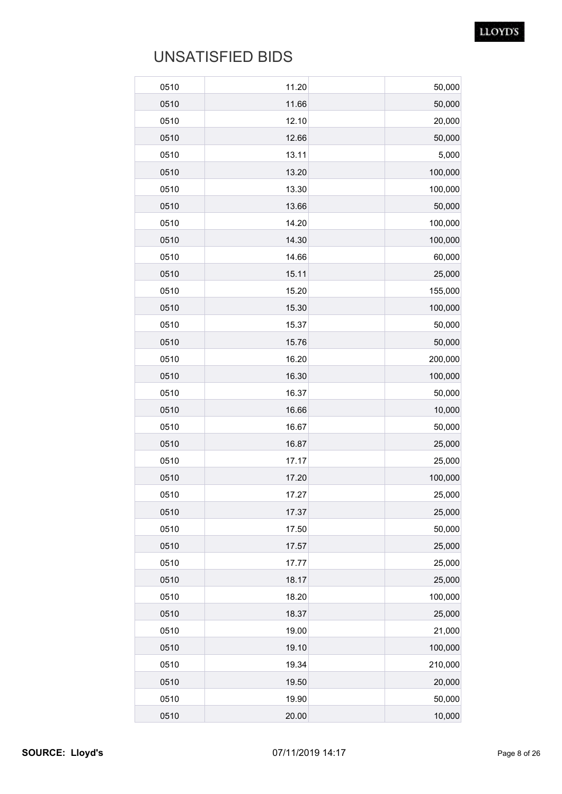| 0510<br>0510 | 11.20<br>11.66 | 50,000<br>50,000 |
|--------------|----------------|------------------|
| 0510         | 12.10          | 20,000           |
| 0510         | 12.66          | 50,000           |
| 0510         | 13.11          | 5,000            |
| 0510         | 13.20          | 100,000          |
| 0510         | 13.30          | 100,000          |
| 0510         | 13.66          | 50,000           |
| 0510         | 14.20          | 100,000          |
| 0510         | 14.30          | 100,000          |
| 0510         | 14.66          | 60,000           |
| 0510         | 15.11          | 25,000           |
| 0510         | 15.20          | 155,000          |
| 0510         | 15.30          | 100,000          |
| 0510         | 15.37          | 50,000           |
| 0510         | 15.76          | 50,000           |
| 0510         | 16.20          | 200,000          |
| 0510         | 16.30          | 100,000          |
| 0510         | 16.37          | 50,000           |
| 0510         | 16.66          | 10,000           |
| 0510         | 16.67          | 50,000           |
| 0510         | 16.87          | 25,000           |
| 0510         | 17.17          | 25,000           |
| 0510         | 17.20          | 100,000          |
| 0510         | 17.27          | 25,000           |
| 0510         | 17.37          | 25,000           |
| 0510         | 17.50          | 50,000           |
| 0510         | 17.57          | 25,000           |
| 0510         | 17.77          | 25,000           |
| 0510         | 18.17          | 25,000           |
| 0510         | 18.20          | 100,000          |
| 0510         | 18.37          | 25,000           |
| 0510         | 19.00          | 21,000           |
| 0510         | 19.10          | 100,000          |
| 0510         | 19.34          | 210,000          |
| 0510         | 19.50          | 20,000           |
| 0510         | 19.90          | 50,000           |
| 0510         | 20.00          | 10,000           |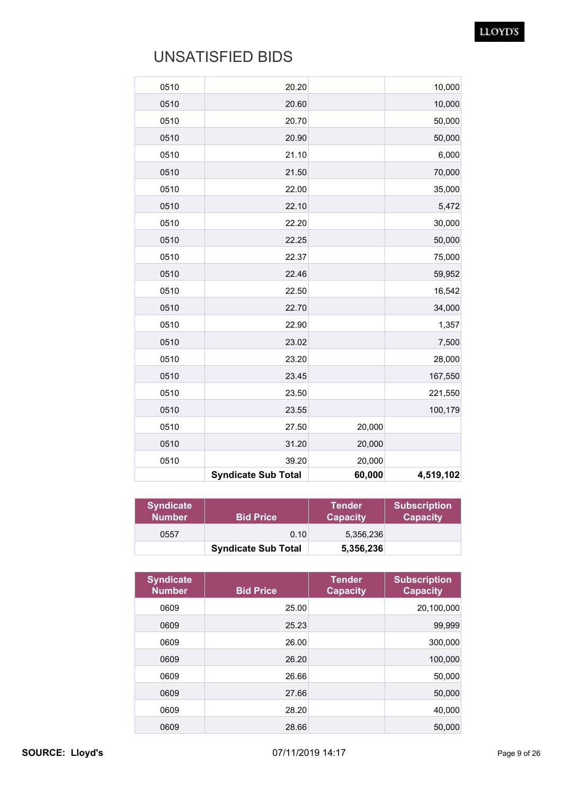| 0510 | 20.20                      |        | 10,000    |
|------|----------------------------|--------|-----------|
| 0510 | 20.60                      |        | 10,000    |
| 0510 | 20.70                      |        | 50,000    |
| 0510 | 20.90                      |        | 50,000    |
| 0510 | 21.10                      |        | 6,000     |
| 0510 | 21.50                      |        | 70,000    |
| 0510 | 22.00                      |        | 35,000    |
| 0510 | 22.10                      |        | 5,472     |
| 0510 | 22.20                      |        | 30,000    |
| 0510 | 22.25                      |        | 50,000    |
| 0510 | 22.37                      |        | 75,000    |
| 0510 | 22.46                      |        | 59,952    |
| 0510 | 22.50                      |        | 16,542    |
| 0510 | 22.70                      |        | 34,000    |
| 0510 | 22.90                      |        | 1,357     |
| 0510 | 23.02                      |        | 7,500     |
| 0510 | 23.20                      |        | 28,000    |
| 0510 | 23.45                      |        | 167,550   |
| 0510 | 23.50                      |        | 221,550   |
| 0510 | 23.55                      |        | 100,179   |
| 0510 | 27.50                      | 20,000 |           |
| 0510 | 31.20                      | 20,000 |           |
| 0510 | 39.20                      | 20,000 |           |
|      | <b>Syndicate Sub Total</b> | 60,000 | 4,519,102 |

| <b>Syndicate</b><br><b>Number</b> | <b>Bid Price</b>           | <b>Tender</b><br><b>Capacity</b> | <b>Subscription</b><br><b>Capacity</b> |
|-----------------------------------|----------------------------|----------------------------------|----------------------------------------|
| 0557                              | 0.10                       | 5.356.236                        |                                        |
|                                   | <b>Syndicate Sub Total</b> | 5,356,236                        |                                        |

| <b>Syndicate</b><br><b>Number</b> | <b>Bid Price</b> | <b>Tender</b><br><b>Capacity</b> | <b>Subscription</b><br><b>Capacity</b> |
|-----------------------------------|------------------|----------------------------------|----------------------------------------|
| 0609                              | 25.00            |                                  | 20,100,000                             |
| 0609                              | 25.23            |                                  | 99,999                                 |
| 0609                              | 26.00            |                                  | 300,000                                |
| 0609                              | 26.20            |                                  | 100,000                                |
| 0609                              | 26.66            |                                  | 50,000                                 |
| 0609                              | 27.66            |                                  | 50,000                                 |
| 0609                              | 28.20            |                                  | 40,000                                 |
| 0609                              | 28.66            |                                  | 50,000                                 |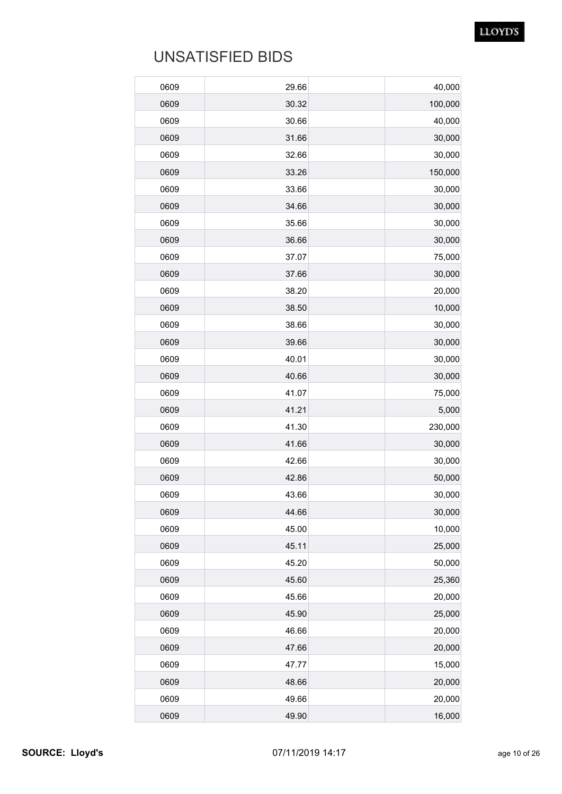| 0609 | 29.66 | 40,000  |
|------|-------|---------|
| 0609 | 30.32 | 100,000 |
| 0609 | 30.66 | 40,000  |
| 0609 | 31.66 | 30,000  |
| 0609 | 32.66 | 30,000  |
| 0609 | 33.26 | 150,000 |
| 0609 | 33.66 | 30,000  |
| 0609 | 34.66 | 30,000  |
| 0609 | 35.66 | 30,000  |
| 0609 | 36.66 | 30,000  |
| 0609 | 37.07 | 75,000  |
| 0609 | 37.66 | 30,000  |
| 0609 | 38.20 | 20,000  |
| 0609 | 38.50 | 10,000  |
| 0609 | 38.66 | 30,000  |
| 0609 | 39.66 | 30,000  |
| 0609 | 40.01 | 30,000  |
| 0609 | 40.66 | 30,000  |
| 0609 | 41.07 | 75,000  |
| 0609 | 41.21 | 5,000   |
| 0609 | 41.30 | 230,000 |
| 0609 | 41.66 | 30,000  |
| 0609 | 42.66 | 30,000  |
| 0609 | 42.86 | 50,000  |
| 0609 | 43.66 | 30,000  |
| 0609 | 44.66 | 30,000  |
| 0609 | 45.00 | 10,000  |
| 0609 | 45.11 | 25,000  |
| 0609 | 45.20 | 50,000  |
| 0609 | 45.60 | 25,360  |
| 0609 | 45.66 | 20,000  |
| 0609 | 45.90 | 25,000  |
| 0609 | 46.66 | 20,000  |
| 0609 | 47.66 | 20,000  |
| 0609 | 47.77 | 15,000  |
| 0609 | 48.66 | 20,000  |
| 0609 | 49.66 | 20,000  |
| 0609 | 49.90 | 16,000  |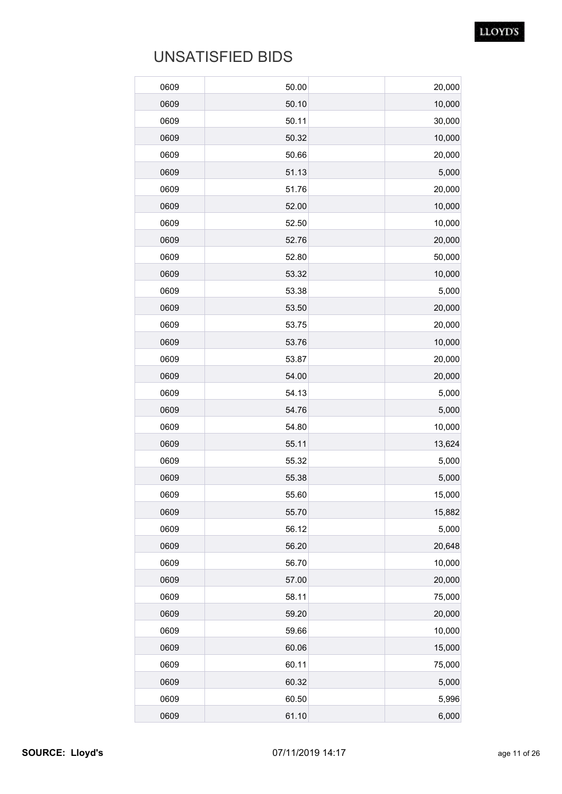| 0609 | 50.00 | 20,000 |
|------|-------|--------|
| 0609 | 50.10 | 10,000 |
| 0609 | 50.11 | 30,000 |
| 0609 | 50.32 | 10,000 |
| 0609 | 50.66 | 20,000 |
| 0609 | 51.13 | 5,000  |
| 0609 | 51.76 | 20,000 |
| 0609 | 52.00 | 10,000 |
| 0609 | 52.50 | 10,000 |
| 0609 | 52.76 | 20,000 |
| 0609 | 52.80 | 50,000 |
| 0609 | 53.32 | 10,000 |
| 0609 | 53.38 | 5,000  |
| 0609 | 53.50 | 20,000 |
| 0609 | 53.75 | 20,000 |
| 0609 | 53.76 | 10,000 |
| 0609 | 53.87 | 20,000 |
| 0609 | 54.00 | 20,000 |
| 0609 | 54.13 | 5,000  |
| 0609 | 54.76 | 5,000  |
| 0609 | 54.80 | 10,000 |
| 0609 | 55.11 | 13,624 |
| 0609 | 55.32 | 5,000  |
| 0609 | 55.38 | 5,000  |
| 0609 | 55.60 | 15,000 |
| 0609 | 55.70 | 15,882 |
| 0609 | 56.12 | 5,000  |
| 0609 | 56.20 | 20,648 |
| 0609 | 56.70 | 10,000 |
| 0609 | 57.00 | 20,000 |
| 0609 | 58.11 | 75,000 |
| 0609 | 59.20 | 20,000 |
| 0609 | 59.66 | 10,000 |
| 0609 | 60.06 | 15,000 |
| 0609 | 60.11 | 75,000 |
| 0609 | 60.32 | 5,000  |
| 0609 | 60.50 | 5,996  |
| 0609 | 61.10 | 6,000  |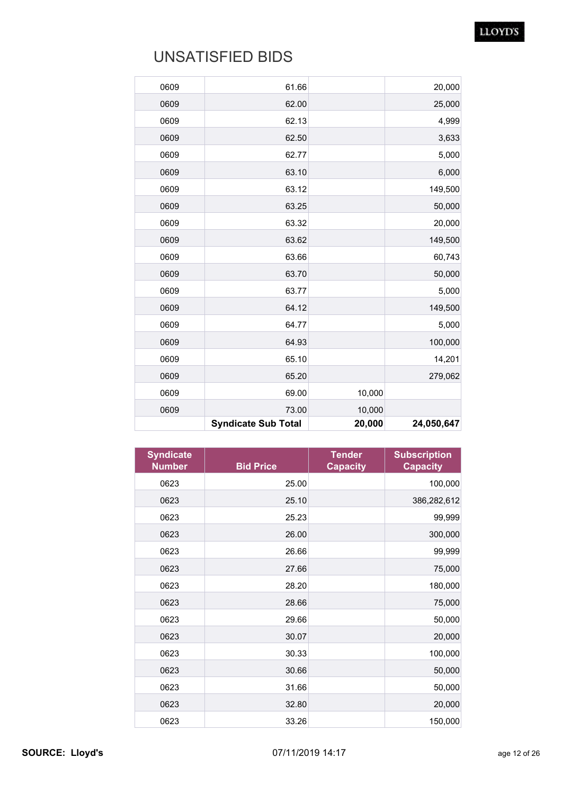|      | <b>Syndicate Sub Total</b> | 20,000 | 24,050,647 |
|------|----------------------------|--------|------------|
| 0609 | 73.00                      | 10,000 |            |
| 0609 | 69.00                      | 10,000 |            |
| 0609 | 65.20                      |        | 279,062    |
| 0609 | 65.10                      |        | 14,201     |
| 0609 | 64.93                      |        | 100,000    |
| 0609 | 64.77                      |        | 5,000      |
| 0609 | 64.12                      |        | 149,500    |
| 0609 | 63.77                      |        | 5,000      |
| 0609 | 63.70                      |        | 50,000     |
| 0609 | 63.66                      |        | 60,743     |
| 0609 | 63.62                      |        | 149,500    |
| 0609 | 63.32                      |        | 20,000     |
| 0609 | 63.25                      |        | 50,000     |
| 0609 | 63.12                      |        | 149,500    |
| 0609 | 63.10                      |        | 6,000      |
| 0609 | 62.77                      |        | 5,000      |
| 0609 | 62.50                      |        | 3,633      |
| 0609 | 62.13                      |        | 4,999      |
| 0609 | 62.00                      |        | 25,000     |
| 0609 | 61.66                      |        | 20,000     |
|      |                            |        |            |

| <b>Syndicate</b><br><b>Number</b> | <b>Bid Price</b> | <b>Tender</b><br><b>Capacity</b> | <b>Subscription</b><br><b>Capacity</b> |
|-----------------------------------|------------------|----------------------------------|----------------------------------------|
| 0623                              | 25.00            |                                  | 100,000                                |
| 0623                              | 25.10            |                                  | 386,282,612                            |
| 0623                              | 25.23            |                                  | 99,999                                 |
| 0623                              | 26.00            |                                  | 300,000                                |
| 0623                              | 26.66            |                                  | 99,999                                 |
| 0623                              | 27.66            |                                  | 75,000                                 |
| 0623                              | 28.20            |                                  | 180,000                                |
| 0623                              | 28.66            |                                  | 75,000                                 |
| 0623                              | 29.66            |                                  | 50,000                                 |
| 0623                              | 30.07            |                                  | 20,000                                 |
| 0623                              | 30.33            |                                  | 100,000                                |
| 0623                              | 30.66            |                                  | 50,000                                 |
| 0623                              | 31.66            |                                  | 50,000                                 |
| 0623                              | 32.80            |                                  | 20,000                                 |
| 0623                              | 33.26            |                                  | 150,000                                |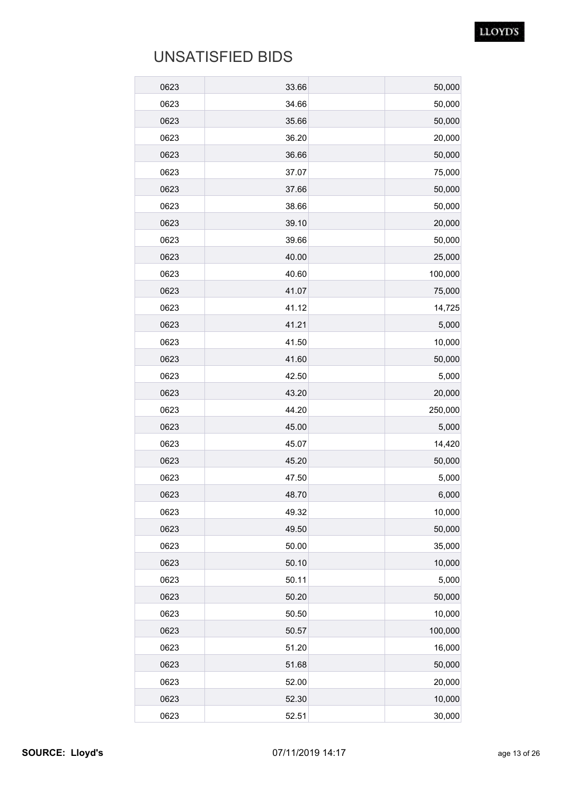| 0623 | 33.66 | 50,000  |
|------|-------|---------|
| 0623 | 34.66 | 50,000  |
| 0623 | 35.66 | 50,000  |
| 0623 | 36.20 | 20,000  |
| 0623 | 36.66 | 50,000  |
| 0623 | 37.07 | 75,000  |
| 0623 | 37.66 | 50,000  |
| 0623 | 38.66 | 50,000  |
| 0623 | 39.10 | 20,000  |
| 0623 | 39.66 | 50,000  |
| 0623 | 40.00 | 25,000  |
| 0623 | 40.60 | 100,000 |
| 0623 | 41.07 | 75,000  |
| 0623 | 41.12 | 14,725  |
| 0623 | 41.21 | 5,000   |
| 0623 | 41.50 | 10,000  |
| 0623 | 41.60 | 50,000  |
| 0623 | 42.50 | 5,000   |
| 0623 | 43.20 | 20,000  |
| 0623 | 44.20 | 250,000 |
| 0623 | 45.00 | 5,000   |
| 0623 | 45.07 | 14,420  |
| 0623 | 45.20 | 50,000  |
| 0623 | 47.50 | 5,000   |
| 0623 | 48.70 | 6,000   |
| 0623 | 49.32 | 10,000  |
| 0623 | 49.50 | 50,000  |
| 0623 | 50.00 | 35,000  |
| 0623 | 50.10 | 10,000  |
| 0623 | 50.11 | 5,000   |
| 0623 | 50.20 | 50,000  |
| 0623 | 50.50 | 10,000  |
| 0623 | 50.57 | 100,000 |
| 0623 | 51.20 | 16,000  |
| 0623 | 51.68 | 50,000  |
| 0623 | 52.00 | 20,000  |
| 0623 | 52.30 | 10,000  |
| 0623 | 52.51 | 30,000  |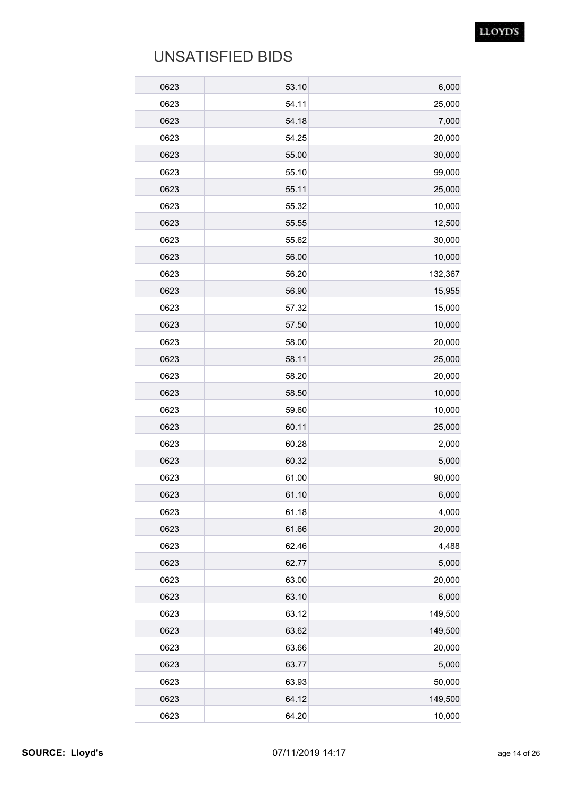| 0623 | 53.10 | 6,000   |
|------|-------|---------|
| 0623 | 54.11 | 25,000  |
| 0623 | 54.18 | 7,000   |
| 0623 | 54.25 | 20,000  |
| 0623 | 55.00 | 30,000  |
| 0623 | 55.10 | 99,000  |
| 0623 | 55.11 | 25,000  |
| 0623 | 55.32 | 10,000  |
| 0623 | 55.55 | 12,500  |
| 0623 | 55.62 | 30,000  |
| 0623 | 56.00 | 10,000  |
| 0623 | 56.20 | 132,367 |
| 0623 | 56.90 | 15,955  |
| 0623 | 57.32 | 15,000  |
| 0623 | 57.50 | 10,000  |
| 0623 | 58.00 | 20,000  |
| 0623 | 58.11 | 25,000  |
| 0623 | 58.20 | 20,000  |
| 0623 | 58.50 | 10,000  |
| 0623 | 59.60 | 10,000  |
| 0623 | 60.11 | 25,000  |
| 0623 | 60.28 | 2,000   |
| 0623 | 60.32 | 5,000   |
| 0623 | 61.00 | 90,000  |
| 0623 | 61.10 | 6,000   |
| 0623 | 61.18 | 4,000   |
| 0623 | 61.66 | 20,000  |
| 0623 | 62.46 | 4,488   |
| 0623 | 62.77 | 5,000   |
| 0623 | 63.00 | 20,000  |
| 0623 | 63.10 | 6,000   |
| 0623 | 63.12 | 149,500 |
| 0623 | 63.62 | 149,500 |
| 0623 | 63.66 | 20,000  |
| 0623 | 63.77 | 5,000   |
| 0623 | 63.93 | 50,000  |
| 0623 | 64.12 | 149,500 |
| 0623 | 64.20 | 10,000  |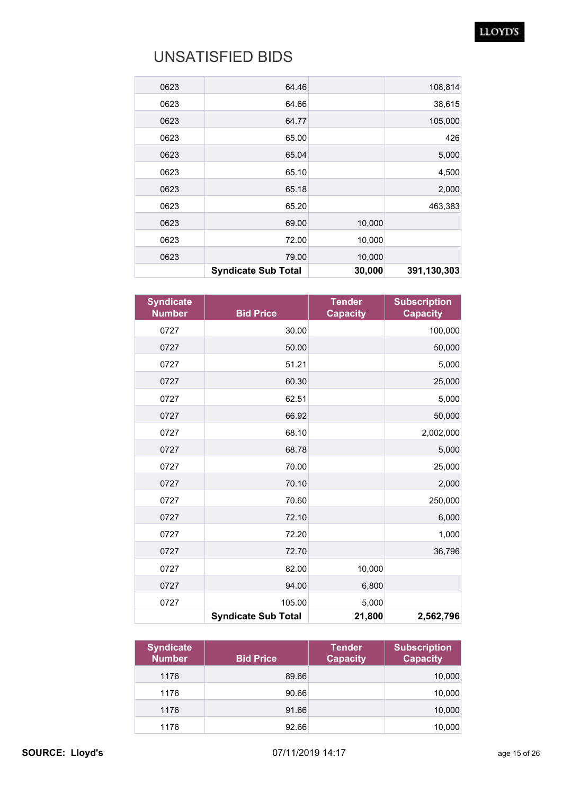#### LLOYD'S

| 0623 | 64.46                      |        | 108,814     |
|------|----------------------------|--------|-------------|
| 0623 | 64.66                      |        | 38,615      |
| 0623 | 64.77                      |        | 105,000     |
| 0623 | 65.00                      |        | 426         |
| 0623 | 65.04                      |        | 5,000       |
| 0623 | 65.10                      |        | 4,500       |
| 0623 | 65.18                      |        | 2,000       |
| 0623 | 65.20                      |        | 463,383     |
| 0623 | 69.00                      | 10,000 |             |
| 0623 | 72.00                      | 10,000 |             |
| 0623 | 79.00                      | 10,000 |             |
|      | <b>Syndicate Sub Total</b> | 30,000 | 391,130,303 |

| <b>Syndicate</b><br><b>Number</b> | <b>Bid Price</b>           | <b>Tender</b><br><b>Capacity</b> | <b>Subscription</b><br><b>Capacity</b> |
|-----------------------------------|----------------------------|----------------------------------|----------------------------------------|
| 0727                              | 30.00                      |                                  | 100,000                                |
| 0727                              | 50.00                      |                                  | 50,000                                 |
| 0727                              | 51.21                      |                                  | 5,000                                  |
| 0727                              | 60.30                      |                                  | 25,000                                 |
| 0727                              | 62.51                      |                                  | 5,000                                  |
| 0727                              | 66.92                      |                                  | 50,000                                 |
| 0727                              | 68.10                      |                                  | 2,002,000                              |
| 0727                              | 68.78                      |                                  | 5,000                                  |
| 0727                              | 70.00                      |                                  | 25,000                                 |
| 0727                              | 70.10                      |                                  | 2,000                                  |
| 0727                              | 70.60                      |                                  | 250,000                                |
| 0727                              | 72.10                      |                                  | 6,000                                  |
| 0727                              | 72.20                      |                                  | 1,000                                  |
| 0727                              | 72.70                      |                                  | 36,796                                 |
| 0727                              | 82.00                      | 10,000                           |                                        |
| 0727                              | 94.00                      | 6,800                            |                                        |
| 0727                              | 105.00                     | 5,000                            |                                        |
|                                   | <b>Syndicate Sub Total</b> | 21,800                           | 2,562,796                              |

| <b>Syndicate</b><br><b>Number</b> | <b>Bid Price</b> | <b>Tender</b><br><b>Capacity</b> | <b>Subscription</b><br><b>Capacity</b> |
|-----------------------------------|------------------|----------------------------------|----------------------------------------|
| 1176                              | 89.66            |                                  | 10,000                                 |
| 1176                              | 90.66            |                                  | 10,000                                 |
| 1176                              | 91.66            |                                  | 10,000                                 |
| 1176                              | 92.66            |                                  | 10,000                                 |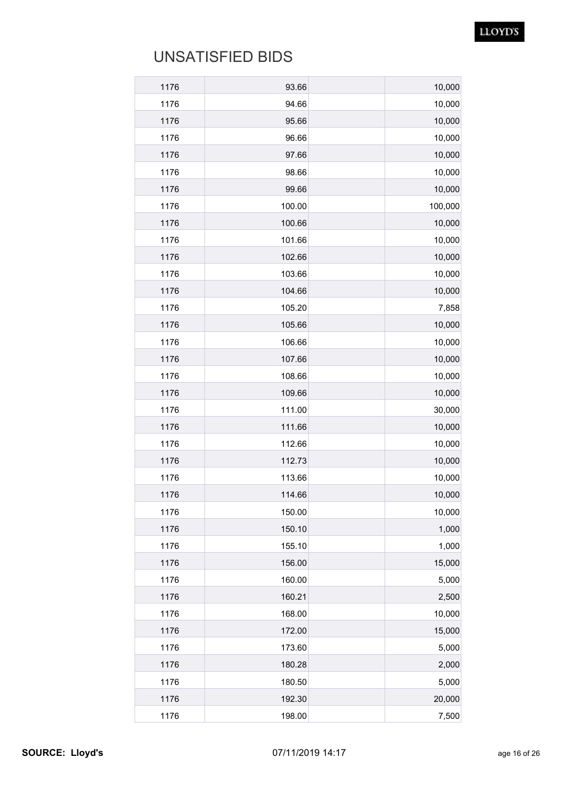| 1176         | 93.66          | 10,000           |
|--------------|----------------|------------------|
| 1176         | 94.66          | 10,000           |
| 1176<br>1176 | 95.66<br>96.66 | 10,000           |
| 1176         | 97.66          | 10,000<br>10,000 |
| 1176         | 98.66          |                  |
| 1176         | 99.66          | 10,000<br>10,000 |
| 1176         | 100.00         | 100,000          |
| 1176         | 100.66         | 10,000           |
| 1176         | 101.66         | 10,000           |
| 1176         | 102.66         | 10,000           |
| 1176         | 103.66         | 10,000           |
| 1176         | 104.66         | 10,000           |
| 1176         | 105.20         | 7,858            |
| 1176         | 105.66         | 10,000           |
| 1176         | 106.66         | 10,000           |
| 1176         | 107.66         | 10,000           |
| 1176         | 108.66         | 10,000           |
| 1176         | 109.66         | 10,000           |
| 1176         | 111.00         | 30,000           |
| 1176         | 111.66         | 10,000           |
| 1176         | 112.66         | 10,000           |
| 1176         | 112.73         | 10,000           |
| 1176         | 113.66         | 10,000           |
| 1176         | 114.66         | 10,000           |
| 1176         | 150.00         | 10,000           |
| 1176         | 150.10         | 1,000            |
| 1176         | 155.10         | 1,000            |
| 1176         | 156.00         | 15,000           |
| 1176         | 160.00         | 5,000            |
| 1176         | 160.21         | 2,500            |
| 1176         | 168.00         | 10,000           |
| 1176         | 172.00         | 15,000           |
| 1176         | 173.60         | 5,000            |
| 1176         | 180.28         | 2,000            |
| 1176         | 180.50         | 5,000            |
| 1176         | 192.30         | 20,000           |
| 1176         | 198.00         | 7,500            |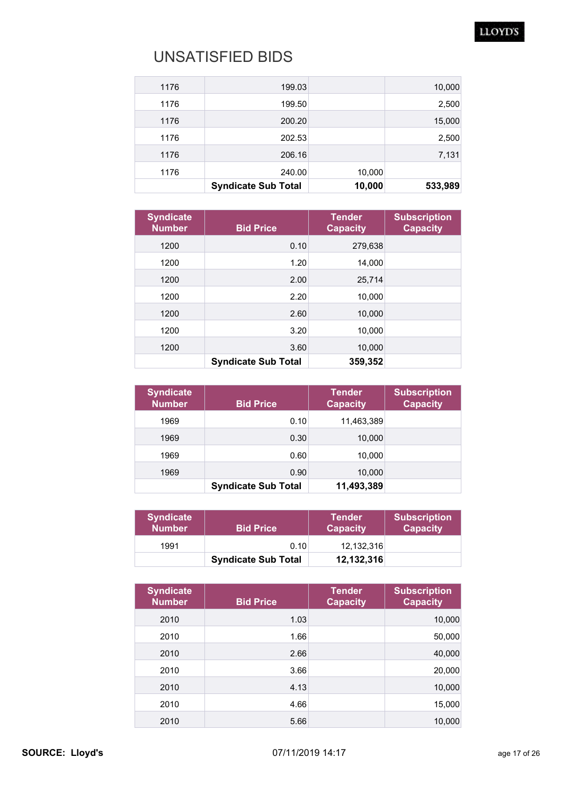#### LLOYD'S

| 1176 | 199.03                     |        | 10,000  |
|------|----------------------------|--------|---------|
| 1176 | 199.50                     |        | 2,500   |
| 1176 | 200.20                     |        | 15,000  |
| 1176 | 202.53                     |        | 2,500   |
| 1176 | 206.16                     |        | 7,131   |
| 1176 | 240.00                     | 10,000 |         |
|      | <b>Syndicate Sub Total</b> | 10,000 | 533,989 |

| <b>Syndicate</b><br><b>Number</b> | <b>Bid Price</b>           | <b>Tender</b><br><b>Capacity</b> | <b>Subscription</b><br><b>Capacity</b> |
|-----------------------------------|----------------------------|----------------------------------|----------------------------------------|
| 1200                              | 0.10                       | 279,638                          |                                        |
| 1200                              | 1.20                       | 14,000                           |                                        |
| 1200                              | 2.00                       | 25,714                           |                                        |
| 1200                              | 2.20                       | 10,000                           |                                        |
| 1200                              | 2.60                       | 10,000                           |                                        |
| 1200                              | 3.20                       | 10,000                           |                                        |
| 1200                              | 3.60                       | 10,000                           |                                        |
|                                   | <b>Syndicate Sub Total</b> | 359,352                          |                                        |

| <b>Syndicate</b><br><b>Number</b> | <b>Bid Price</b>           | <b>Tender</b><br><b>Capacity</b> | <b>Subscription</b><br><b>Capacity</b> |
|-----------------------------------|----------------------------|----------------------------------|----------------------------------------|
| 1969                              | 0.10                       | 11,463,389                       |                                        |
| 1969                              | 0.30                       | 10,000                           |                                        |
| 1969                              | 0.60                       | 10,000                           |                                        |
| 1969                              | 0.90                       | 10,000                           |                                        |
|                                   | <b>Syndicate Sub Total</b> | 11,493,389                       |                                        |

| <b>Syndicate</b><br><b>Number</b> | <b>Bid Price</b>           | <b>Tender</b><br><b>Capacity</b> | <b>Subscription</b><br><b>Capacity</b> |
|-----------------------------------|----------------------------|----------------------------------|----------------------------------------|
| 1991                              | 0.10                       | 12.132.316                       |                                        |
|                                   | <b>Syndicate Sub Total</b> | 12,132,316                       |                                        |

| <b>Syndicate</b><br><b>Number</b> | <b>Bid Price</b> | <b>Tender</b><br><b>Capacity</b> | <b>Subscription</b><br><b>Capacity</b> |
|-----------------------------------|------------------|----------------------------------|----------------------------------------|
| 2010                              | 1.03             |                                  | 10,000                                 |
| 2010                              | 1.66             |                                  | 50,000                                 |
| 2010                              | 2.66             |                                  | 40,000                                 |
| 2010                              | 3.66             |                                  | 20,000                                 |
| 2010                              | 4.13             |                                  | 10,000                                 |
| 2010                              | 4.66             |                                  | 15,000                                 |
| 2010                              | 5.66             |                                  | 10,000                                 |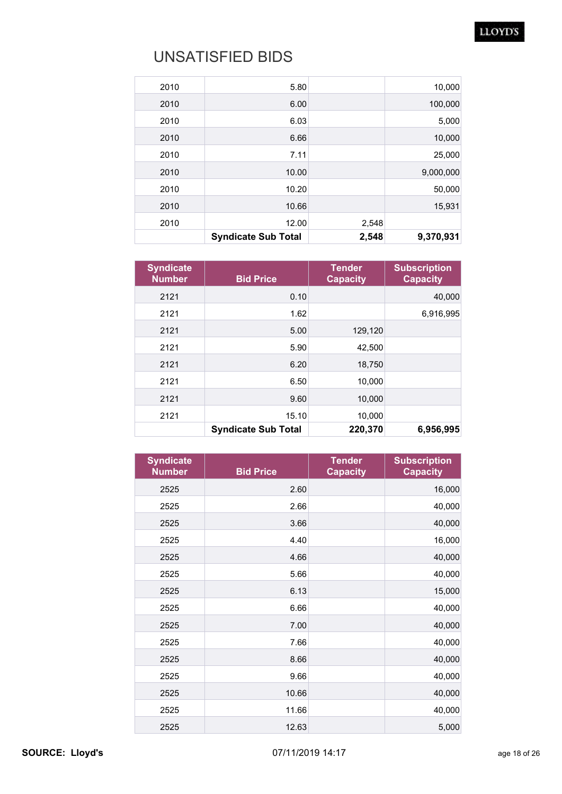#### LLOYD'S

|       | 2,548                      | 9,370,931 |
|-------|----------------------------|-----------|
| 12.00 | 2,548                      |           |
| 10.66 |                            | 15,931    |
| 10.20 |                            | 50,000    |
| 10.00 |                            | 9,000,000 |
| 7.11  |                            | 25,000    |
| 6.66  |                            | 10,000    |
| 6.03  |                            | 5,000     |
| 6.00  |                            | 100,000   |
| 5.80  |                            | 10,000    |
|       | <b>Syndicate Sub Total</b> |           |

| <b>Syndicate</b><br><b>Number</b> | <b>Bid Price</b>           | <b>Tender</b><br><b>Capacity</b> | <b>Subscription</b><br><b>Capacity</b> |
|-----------------------------------|----------------------------|----------------------------------|----------------------------------------|
| 2121                              | 0.10                       |                                  | 40,000                                 |
| 2121                              | 1.62                       |                                  | 6,916,995                              |
| 2121                              | 5.00                       | 129,120                          |                                        |
| 2121                              | 5.90                       | 42,500                           |                                        |
| 2121                              | 6.20                       | 18,750                           |                                        |
| 2121                              | 6.50                       | 10,000                           |                                        |
| 2121                              | 9.60                       | 10,000                           |                                        |
| 2121                              | 15.10                      | 10,000                           |                                        |
|                                   | <b>Syndicate Sub Total</b> | 220,370                          | 6,956,995                              |

| <b>Syndicate</b><br><b>Number</b> | <b>Bid Price</b> | <b>Tender</b><br><b>Capacity</b> | <b>Subscription</b><br><b>Capacity</b> |
|-----------------------------------|------------------|----------------------------------|----------------------------------------|
| 2525                              | 2.60             |                                  | 16,000                                 |
| 2525                              | 2.66             |                                  | 40,000                                 |
| 2525                              | 3.66             |                                  | 40,000                                 |
| 2525                              | 4.40             |                                  | 16,000                                 |
| 2525                              | 4.66             |                                  | 40,000                                 |
| 2525                              | 5.66             |                                  | 40,000                                 |
| 2525                              | 6.13             |                                  | 15,000                                 |
| 2525                              | 6.66             |                                  | 40,000                                 |
| 2525                              | 7.00             |                                  | 40,000                                 |
| 2525                              | 7.66             |                                  | 40,000                                 |
| 2525                              | 8.66             |                                  | 40,000                                 |
| 2525                              | 9.66             |                                  | 40,000                                 |
| 2525                              | 10.66            |                                  | 40,000                                 |
| 2525                              | 11.66            |                                  | 40,000                                 |
| 2525                              | 12.63            |                                  | 5,000                                  |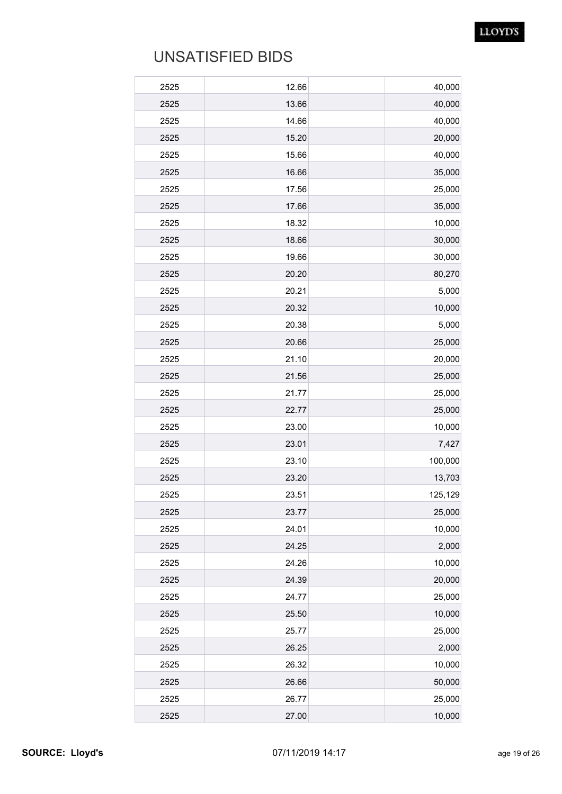| 2525 | 12.66 | 40,000  |
|------|-------|---------|
| 2525 | 13.66 | 40,000  |
| 2525 | 14.66 | 40,000  |
| 2525 | 15.20 | 20,000  |
| 2525 | 15.66 | 40,000  |
| 2525 | 16.66 | 35,000  |
| 2525 | 17.56 | 25,000  |
| 2525 | 17.66 | 35,000  |
| 2525 | 18.32 | 10,000  |
| 2525 | 18.66 | 30,000  |
| 2525 | 19.66 | 30,000  |
| 2525 | 20.20 | 80,270  |
| 2525 | 20.21 | 5,000   |
| 2525 | 20.32 | 10,000  |
| 2525 | 20.38 | 5,000   |
| 2525 | 20.66 | 25,000  |
| 2525 | 21.10 | 20,000  |
| 2525 | 21.56 | 25,000  |
| 2525 | 21.77 | 25,000  |
| 2525 | 22.77 | 25,000  |
| 2525 | 23.00 | 10,000  |
| 2525 | 23.01 | 7,427   |
| 2525 | 23.10 | 100,000 |
| 2525 | 23.20 | 13,703  |
| 2525 | 23.51 | 125,129 |
| 2525 | 23.77 | 25,000  |
| 2525 | 24.01 | 10,000  |
| 2525 | 24.25 | 2,000   |
| 2525 | 24.26 | 10,000  |
| 2525 | 24.39 | 20,000  |
| 2525 | 24.77 | 25,000  |
| 2525 | 25.50 | 10,000  |
| 2525 | 25.77 | 25,000  |
| 2525 | 26.25 | 2,000   |
| 2525 | 26.32 | 10,000  |
| 2525 | 26.66 | 50,000  |
| 2525 | 26.77 | 25,000  |
| 2525 | 27.00 | 10,000  |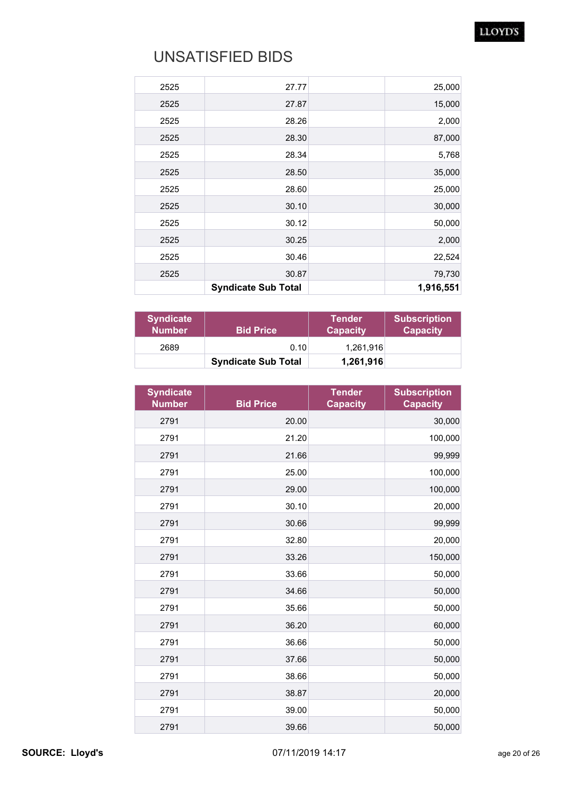#### LLOYD'S

| 25,000    | 27.77                      | 2525 |
|-----------|----------------------------|------|
| 15,000    | 27.87                      | 2525 |
| 2,000     | 28.26                      | 2525 |
| 87,000    | 28.30                      | 2525 |
| 5,768     | 28.34                      | 2525 |
| 35,000    | 28.50                      | 2525 |
| 25,000    | 28.60                      | 2525 |
| 30,000    | 30.10                      | 2525 |
| 50,000    | 30.12                      | 2525 |
| 2,000     | 30.25                      | 2525 |
| 22,524    | 30.46                      | 2525 |
| 79,730    | 30.87                      | 2525 |
| 1,916,551 | <b>Syndicate Sub Total</b> |      |

| <b>Syndicate</b><br><b>Number</b> | <b>Bid Price</b>           | <b>Tender</b><br><b>Capacity</b> | <b>Subscription</b><br><b>Capacity</b> |
|-----------------------------------|----------------------------|----------------------------------|----------------------------------------|
| 2689                              | 0.10                       | 1,261,916                        |                                        |
|                                   | <b>Syndicate Sub Total</b> | 1,261,916                        |                                        |

| <b>Syndicate</b><br><b>Number</b> | <b>Bid Price</b> | <b>Tender</b><br><b>Capacity</b> | <b>Subscription</b><br><b>Capacity</b> |
|-----------------------------------|------------------|----------------------------------|----------------------------------------|
| 2791                              | 20.00            |                                  | 30,000                                 |
| 2791                              | 21.20            |                                  | 100,000                                |
| 2791                              | 21.66            |                                  | 99,999                                 |
| 2791                              | 25.00            |                                  | 100,000                                |
| 2791                              | 29.00            |                                  | 100,000                                |
| 2791                              | 30.10            |                                  | 20,000                                 |
| 2791                              | 30.66            |                                  | 99,999                                 |
| 2791                              | 32.80            |                                  | 20,000                                 |
| 2791                              | 33.26            |                                  | 150,000                                |
| 2791                              | 33.66            |                                  | 50,000                                 |
| 2791                              | 34.66            |                                  | 50,000                                 |
| 2791                              | 35.66            |                                  | 50,000                                 |
| 2791                              | 36.20            |                                  | 60,000                                 |
| 2791                              | 36.66            |                                  | 50,000                                 |
| 2791                              | 37.66            |                                  | 50,000                                 |
| 2791                              | 38.66            |                                  | 50,000                                 |
| 2791                              | 38.87            |                                  | 20,000                                 |
| 2791                              | 39.00            |                                  | 50,000                                 |
| 2791                              | 39.66            |                                  | 50,000                                 |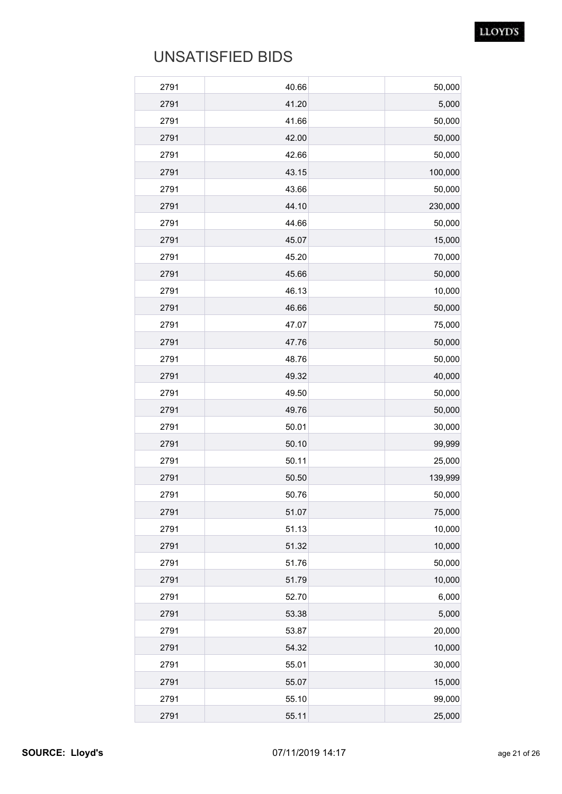| 2791 | 40.66 | 50,000  |
|------|-------|---------|
| 2791 | 41.20 | 5,000   |
| 2791 | 41.66 | 50,000  |
| 2791 | 42.00 | 50,000  |
| 2791 | 42.66 | 50,000  |
| 2791 | 43.15 | 100,000 |
| 2791 | 43.66 | 50,000  |
| 2791 | 44.10 | 230,000 |
| 2791 | 44.66 | 50,000  |
| 2791 | 45.07 | 15,000  |
| 2791 | 45.20 | 70,000  |
| 2791 | 45.66 | 50,000  |
| 2791 | 46.13 | 10,000  |
| 2791 | 46.66 | 50,000  |
| 2791 | 47.07 | 75,000  |
| 2791 | 47.76 | 50,000  |
| 2791 | 48.76 | 50,000  |
| 2791 | 49.32 | 40,000  |
| 2791 | 49.50 | 50,000  |
| 2791 | 49.76 | 50,000  |
| 2791 | 50.01 | 30,000  |
| 2791 | 50.10 | 99,999  |
| 2791 | 50.11 | 25,000  |
| 2791 | 50.50 | 139,999 |
| 2791 | 50.76 | 50,000  |
| 2791 | 51.07 | 75,000  |
| 2791 | 51.13 | 10,000  |
| 2791 | 51.32 | 10,000  |
| 2791 | 51.76 | 50,000  |
| 2791 | 51.79 | 10,000  |
| 2791 | 52.70 | 6,000   |
| 2791 | 53.38 | 5,000   |
| 2791 | 53.87 | 20,000  |
| 2791 | 54.32 | 10,000  |
| 2791 | 55.01 | 30,000  |
| 2791 | 55.07 | 15,000  |
| 2791 | 55.10 | 99,000  |
| 2791 | 55.11 | 25,000  |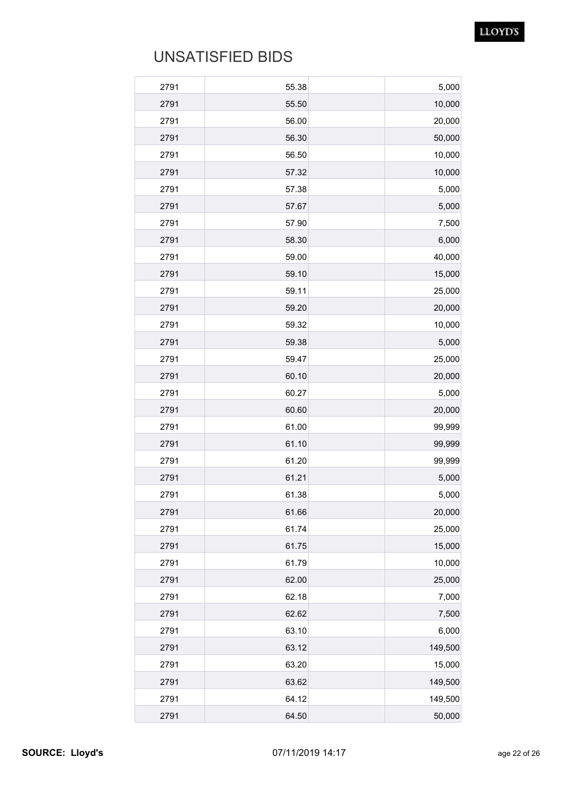| 2791 | 55.38 | 5,000   |
|------|-------|---------|
| 2791 | 55.50 | 10,000  |
| 2791 | 56.00 | 20,000  |
| 2791 | 56.30 | 50,000  |
| 2791 | 56.50 | 10,000  |
| 2791 | 57.32 | 10,000  |
| 2791 | 57.38 | 5,000   |
| 2791 | 57.67 | 5,000   |
| 2791 | 57.90 | 7,500   |
| 2791 | 58.30 | 6,000   |
| 2791 | 59.00 | 40,000  |
| 2791 | 59.10 | 15,000  |
| 2791 | 59.11 | 25,000  |
| 2791 | 59.20 | 20,000  |
| 2791 | 59.32 | 10,000  |
| 2791 | 59.38 | 5,000   |
| 2791 | 59.47 | 25,000  |
| 2791 | 60.10 | 20,000  |
| 2791 | 60.27 | 5,000   |
| 2791 | 60.60 | 20,000  |
| 2791 | 61.00 | 99,999  |
| 2791 | 61.10 | 99,999  |
| 2791 | 61.20 | 99,999  |
| 2791 | 61.21 | 5,000   |
| 2791 | 61.38 | 5,000   |
| 2791 | 61.66 | 20,000  |
| 2791 | 61.74 | 25,000  |
| 2791 | 61.75 | 15,000  |
| 2791 | 61.79 | 10,000  |
| 2791 | 62.00 | 25,000  |
| 2791 | 62.18 | 7,000   |
| 2791 | 62.62 | 7,500   |
| 2791 | 63.10 | 6,000   |
| 2791 | 63.12 | 149,500 |
| 2791 | 63.20 | 15,000  |
| 2791 | 63.62 | 149,500 |
| 2791 | 64.12 | 149,500 |
| 2791 | 64.50 | 50,000  |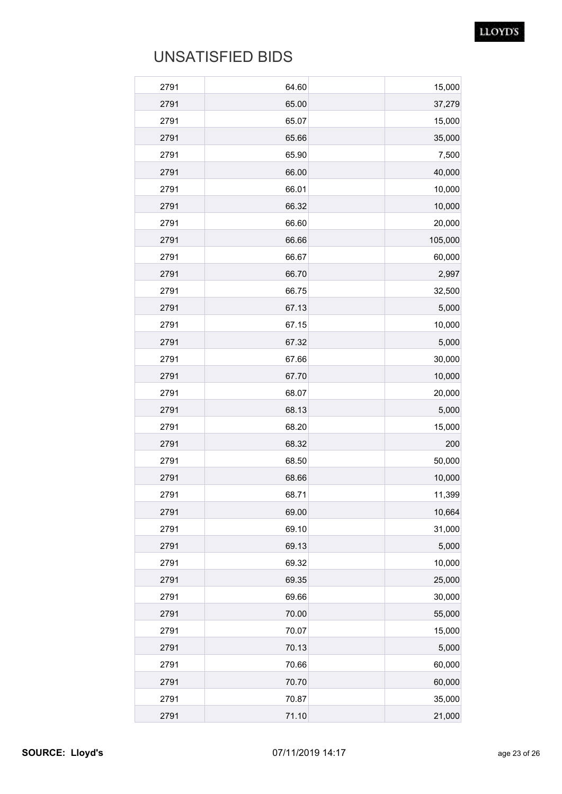| 15,000  | 64.60 | 2791 |
|---------|-------|------|
| 37,279  | 65.00 | 2791 |
| 15,000  | 65.07 | 2791 |
| 35,000  | 65.66 | 2791 |
| 7,500   | 65.90 | 2791 |
| 40,000  | 66.00 | 2791 |
| 10,000  | 66.01 | 2791 |
| 10,000  | 66.32 | 2791 |
| 20,000  | 66.60 | 2791 |
| 105,000 | 66.66 | 2791 |
| 60,000  | 66.67 | 2791 |
| 2,997   | 66.70 | 2791 |
| 32,500  | 66.75 | 2791 |
| 5,000   | 67.13 | 2791 |
| 10,000  | 67.15 | 2791 |
| 5,000   | 67.32 | 2791 |
| 30,000  | 67.66 | 2791 |
| 10,000  | 67.70 | 2791 |
| 20,000  | 68.07 | 2791 |
| 5,000   | 68.13 | 2791 |
| 15,000  | 68.20 | 2791 |
| 200     | 68.32 | 2791 |
| 50,000  | 68.50 | 2791 |
| 10,000  | 68.66 | 2791 |
| 11,399  | 68.71 | 2791 |
| 10,664  | 69.00 | 2791 |
| 31,000  | 69.10 | 2791 |
| 5,000   | 69.13 | 2791 |
| 10,000  | 69.32 | 2791 |
| 25,000  | 69.35 | 2791 |
| 30,000  | 69.66 | 2791 |
| 55,000  | 70.00 | 2791 |
| 15,000  | 70.07 | 2791 |
| 5,000   | 70.13 | 2791 |
| 60,000  | 70.66 | 2791 |
| 60,000  | 70.70 | 2791 |
| 35,000  | 70.87 | 2791 |
| 21,000  | 71.10 | 2791 |
|         |       |      |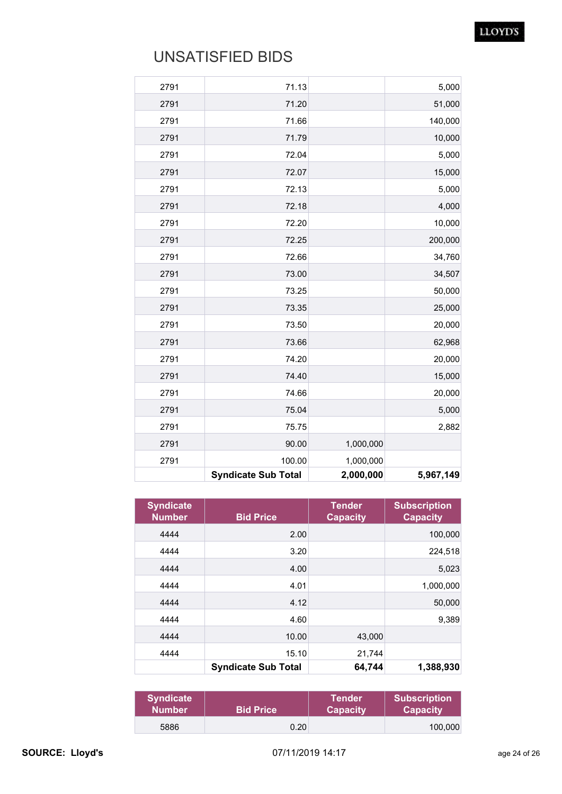|      | <b>Syndicate Sub Total</b> | 2,000,000 | 5,967,149 |
|------|----------------------------|-----------|-----------|
| 2791 | 100.00                     | 1,000,000 |           |
| 2791 | 90.00                      | 1,000,000 |           |
| 2791 | 75.75                      |           | 2,882     |
| 2791 | 75.04                      |           | 5,000     |
| 2791 | 74.66                      |           | 20,000    |
| 2791 | 74.40                      |           | 15,000    |
| 2791 | 74.20                      |           | 20,000    |
| 2791 | 73.66                      |           | 62,968    |
| 2791 | 73.50                      |           | 20,000    |
| 2791 | 73.35                      |           | 25,000    |
| 2791 | 73.25                      |           | 50,000    |
| 2791 | 73.00                      |           | 34,507    |
| 2791 | 72.66                      |           | 34,760    |
| 2791 | 72.25                      |           | 200,000   |
| 2791 | 72.20                      |           | 10,000    |
| 2791 | 72.18                      |           | 4,000     |
| 2791 | 72.13                      |           | 5,000     |
| 2791 | 72.07                      |           | 15,000    |
| 2791 | 72.04                      |           | 5,000     |
| 2791 | 71.79                      |           | 10,000    |
| 2791 | 71.66                      |           | 140,000   |
| 2791 | 71.20                      |           | 51,000    |
| 2791 | 71.13                      |           | 5,000     |

| <b>Syndicate</b><br><b>Number</b> | <b>Bid Price</b>           | <b>Tender</b><br><b>Capacity</b> | <b>Subscription</b><br><b>Capacity</b> |
|-----------------------------------|----------------------------|----------------------------------|----------------------------------------|
| 4444                              | 2.00                       |                                  | 100,000                                |
| 4444                              | 3.20                       |                                  | 224,518                                |
| 4444                              | 4.00                       |                                  | 5,023                                  |
| 4444                              | 4.01                       |                                  | 1,000,000                              |
| 4444                              | 4.12                       |                                  | 50,000                                 |
| 4444                              | 4.60                       |                                  | 9,389                                  |
| 4444                              | 10.00                      | 43,000                           |                                        |
| 4444                              | 15.10                      | 21,744                           |                                        |
|                                   | <b>Syndicate Sub Total</b> | 64,744                           | 1,388,930                              |

| <b>Syndicate</b> | <b>Bid Price</b> | <b>Tender</b>   | <b>Subscription</b> |
|------------------|------------------|-----------------|---------------------|
| <b>Number</b>    |                  | <b>Capacity</b> | <b>Capacity</b>     |
| 5886             | 0.20             |                 | 100.000             |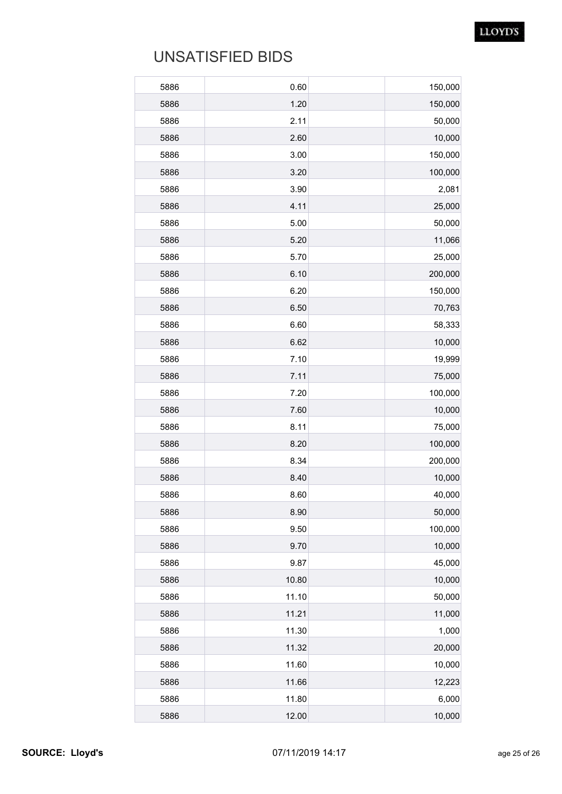| 5886 | 0.60  | 150,000 |
|------|-------|---------|
| 5886 | 1.20  | 150,000 |
| 5886 | 2.11  | 50,000  |
| 5886 | 2.60  | 10,000  |
| 5886 | 3.00  | 150,000 |
| 5886 | 3.20  | 100,000 |
| 5886 | 3.90  | 2,081   |
| 5886 | 4.11  | 25,000  |
| 5886 | 5.00  | 50,000  |
| 5886 | 5.20  | 11,066  |
| 5886 | 5.70  | 25,000  |
| 5886 | 6.10  | 200,000 |
| 5886 | 6.20  | 150,000 |
| 5886 | 6.50  | 70,763  |
| 5886 | 6.60  | 58,333  |
| 5886 | 6.62  | 10,000  |
| 5886 | 7.10  | 19,999  |
| 5886 | 7.11  | 75,000  |
| 5886 | 7.20  | 100,000 |
| 5886 | 7.60  | 10,000  |
| 5886 | 8.11  | 75,000  |
| 5886 | 8.20  | 100,000 |
| 5886 | 8.34  | 200,000 |
| 5886 | 8.40  | 10,000  |
| 5886 | 8.60  | 40,000  |
| 5886 | 8.90  | 50,000  |
| 5886 | 9.50  | 100,000 |
| 5886 | 9.70  | 10,000  |
| 5886 | 9.87  | 45,000  |
| 5886 | 10.80 | 10,000  |
| 5886 | 11.10 | 50,000  |
| 5886 | 11.21 | 11,000  |
| 5886 | 11.30 | 1,000   |
| 5886 | 11.32 | 20,000  |
| 5886 | 11.60 | 10,000  |
| 5886 | 11.66 | 12,223  |
| 5886 | 11.80 | 6,000   |
| 5886 | 12.00 | 10,000  |